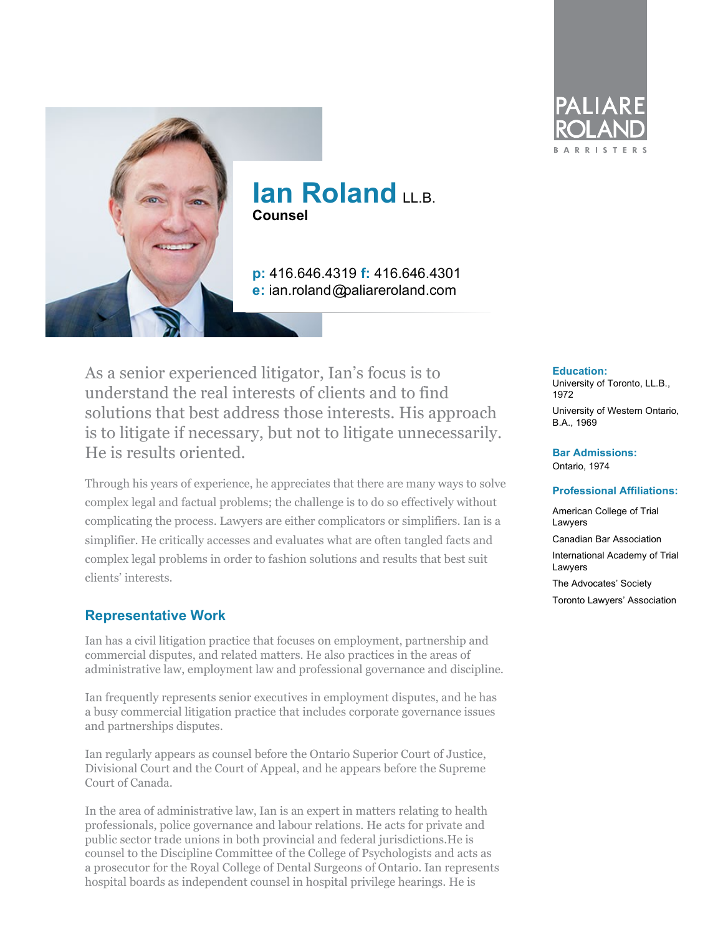

## **Ian Roland LLB. Counsel**

**p:** 416.646.4319 **f:** 416.646.4301 **e:** ian.roland@paliareroland.com

As a senior experienced litigator, Ian's focus is to understand the real interests of clients and to find solutions that best address those interests. His approach is to litigate if necessary, but not to litigate unnecessarily. He is results oriented.

Through his years of experience, he appreciates that there are many ways to solve complex legal and factual problems; the challenge is to do so effectively without complicating the process. Lawyers are either complicators or simplifiers. Ian is a simplifier. He critically accesses and evaluates what are often tangled facts and complex legal problems in order to fashion solutions and results that best suit clients' interests.

#### **Representative Work**

Ian has a civil litigation practice that focuses on employment, partnership and commercial disputes, and related matters. He also practices in the areas of administrative law, employment law and professional governance and discipline.

Ian frequently represents senior executives in employment disputes, and he has a busy commercial litigation practice that includes corporate governance issues and partnerships disputes.

Ian regularly appears as counsel before the Ontario Superior Court of Justice, Divisional Court and the Court of Appeal, and he appears before the Supreme Court of Canada.

In the area of administrative law, Ian is an expert in matters relating to health professionals, police governance and labour relations. He acts for private and public sector trade unions in both provincial and federal jurisdictions.He is counsel to the Discipline Committee of the College of Psychologists and acts as a prosecutor for the Royal College of Dental Surgeons of Ontario. Ian represents hospital boards as independent counsel in hospital privilege hearings. He is



#### **Education:**

University of Toronto, LL.B., 1972 University of Western Ontario,

B.A., 1969

#### **Bar Admissions:** Ontario, 1974

#### **Professional Affiliations:**

American College of Trial **Lawvers** 

Canadian Bar Association International Academy of Trial Lawyers

The Advocates' Society

Toronto Lawyers' Association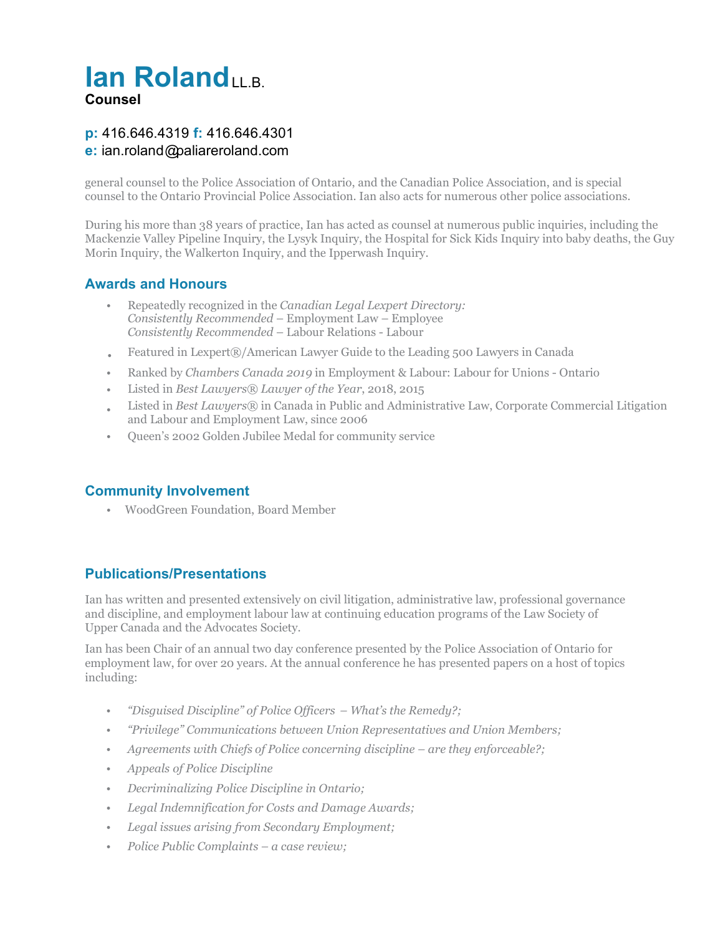# **Ian Roland LLB. Counsel**

### **p:** 416.646.4319 **f:** 416.646.4301 **e:** ian.roland@paliareroland.com

general counsel to the Police Association of Ontario, and the Canadian Police Association, and is special counsel to the Ontario Provincial Police Association. Ian also acts for numerous other police associations.

During his more than 38 years of practice, Ian has acted as counsel at numerous public inquiries, including the Mackenzie Valley Pipeline Inquiry, the Lysyk Inquiry, the Hospital for Sick Kids Inquiry into baby deaths, the Guy Morin Inquiry, the Walkerton Inquiry, and the Ipperwash Inquiry.

#### **Awards and Honours**

- *•* Repeatedly recognized in the *Canadian Legal Lexpert Directory: Consistently Recommended* – Employment Law – Employee *Consistently Recommended* – Labour Relations - Labour
- Featured in Lexpert®/American Lawyer Guide to the Leading 500 Lawyers in Canada *•*
- *•* Ranked by *Chambers Canada 2019* in Employment & Labour: Labour for Unions Ontario
- *•* Listed in *Best Lawyers® Lawyer of the Year*, 2018, 2015
- *•* Listed in *Best Lawyers®* in Canada in Public and Administrative Law, Corporate Commercial Litigation and Labour and Employment Law, since 2006
- *•* Queen's 2002 Golden Jubilee Medal for community service

#### **Community Involvement**

WoodGreen Foundation, Board Member *•*

### **Publications/Presentations**

Ian has written and presented extensively on civil litigation, administrative law, professional governance and discipline, and employment labour law at continuing education programs of the Law Society of Upper Canada and the Advocates Society.

Ian has been Chair of an annual two day conference presented by the Police Association of Ontario for employment law, for over 20 years. At the annual conference he has presented papers on a host of topics including:

- *• "Disguised Discipline" of Police Officers What's the Remedy?;*
- *• "Privilege" Communications between Union Representatives and Union Members;*
- *• Agreements with Chiefs of Police concerning discipline are they enforceable?;*
- *• Appeals of Police Discipline*
- *• Decriminalizing Police Discipline in Ontario;*
- *• Legal Indemnification for Costs and Damage Awards;*
- *• Legal issues arising from Secondary Employment;*
- *• Police Public Complaints a case review;*